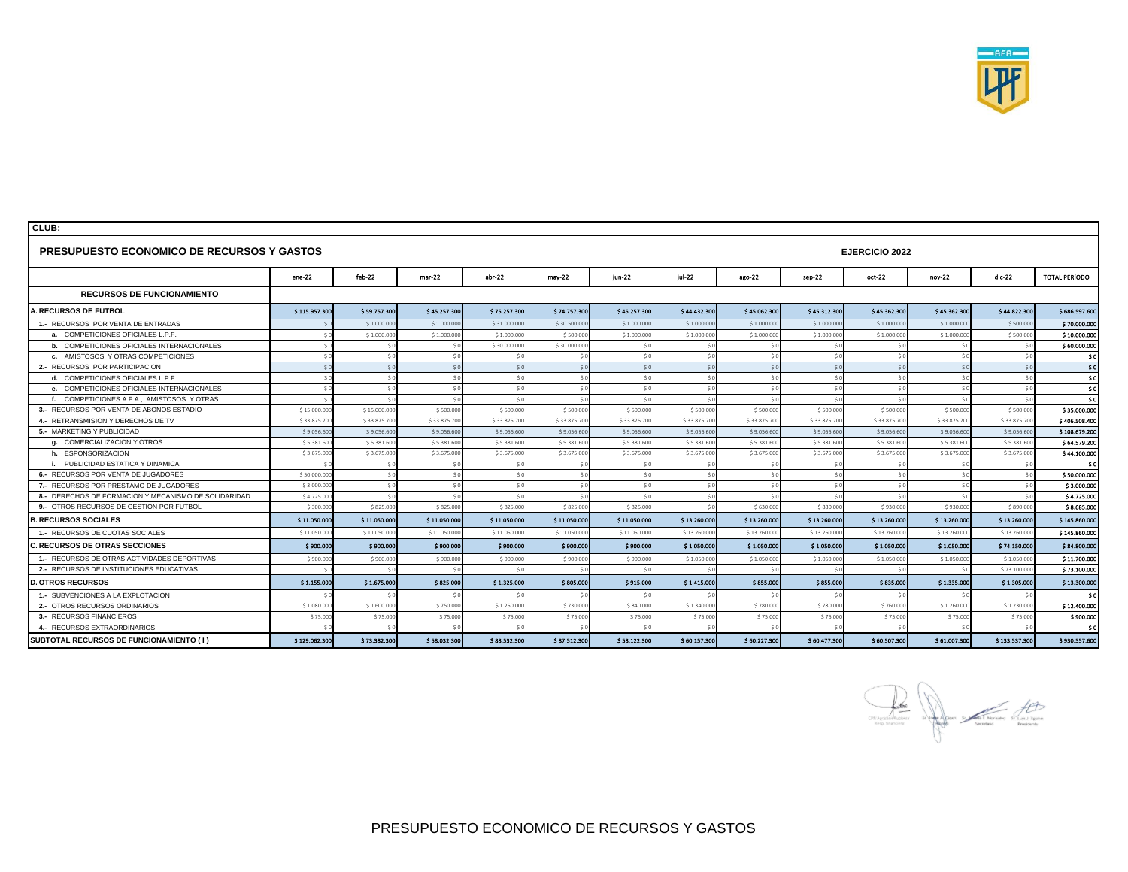

| <b>PRESUPUESTO ECONOMICO DE RECURSOS Y GASTOS</b>    |                |              |              |              |              |              |              |              | <b>EJERCICIO 2022</b> |              |               |               |               |  |  |
|------------------------------------------------------|----------------|--------------|--------------|--------------|--------------|--------------|--------------|--------------|-----------------------|--------------|---------------|---------------|---------------|--|--|
|                                                      | $ene-22$       | feb-22       | mar-22       | $abr-22$     | $may-22$     | $jun-22$     | jul-22       | ago-22       | sep-22                | $oct-22$     | nov-22        | dic-22        | TOTAL PERÍODO |  |  |
| <b>RECURSOS DE FUNCIONAMIENTO</b>                    |                |              |              |              |              |              |              |              |                       |              |               |               |               |  |  |
| A. RECURSOS DE FUTBOL                                | \$115.957.300  | \$59.757.300 | \$45.257.300 | \$75.257.300 | \$74.757.300 | \$45.257.300 | \$44.432.300 | \$45.062.300 | \$45.312.300          | \$45.362.300 | \$45.362.300  | \$44.822.300  | \$686.597.60  |  |  |
| 1.- RECURSOS POR VENTA DE ENTRADAS                   |                | \$1,000,00   | \$1,000,00   | \$31,000.00  | \$30,500,00  | \$1,000,000  | \$1.000.00   | \$1,000,000  | \$1,000.00            | \$1.000.00   | \$1,000.00    | \$500,000     | \$70,000,00   |  |  |
| a. COMPETICIONES OFICIALES L.P.F.                    | S C            | \$1.000.000  | \$1.000.000  | \$1.000.00   | \$500.00     | \$1.000.000  | \$1.000.000  | \$1.000.000  | \$1.000.00            | \$1.000.000  | \$1.000.00    | \$500.000     | \$10.000.00   |  |  |
| <b>b.</b> COMPETICIONES OFICIALES INTERNACIONALES    | S C            | \$0          |              | \$30.000.000 | \$30.000.00  |              |              | 50           |                       |              | $\mathcal{S}$ | 50            | \$60,000,00   |  |  |
| c. AMISTOSOS Y OTRAS COMPETICIONES                   | S <sub>c</sub> | \$0          | 50           | 50           |              | 50           | 50           | 50           |                       |              | $\mathsf{S}$  | $\leq$        | - \$ (        |  |  |
| 2.- RECURSOS POR PARTICIPACION                       | 50             | 50           | $\leq$       | 50           |              | 50           | 50           | \$0          | 50                    |              | $\leq$        | $\leq$        | - \$ (        |  |  |
| d. COMPETICIONES OFICIALES L.P.F.                    | 50             | \$0          | 5C           | 50           |              | \$0          | \$0          | \$0          | 50                    |              | 50            | 50            | - 51          |  |  |
| e. COMPETICIONES OFICIALES INTERNACIONALES           | S C            | \$0          | 50           | \$0          |              | 50           | 50           | \$0          | 50                    | $\leq$       | $\mathsf{S}$  | 50            | -\$           |  |  |
| f. COMPETICIONES A.F.A., AMISTOSOS Y OTRAS           | S C            | 50           | $\leq$       | 50           |              | 50           | SO           | 50           | S <sub>0</sub>        |              | $\mathsf{S}$  | S(            | $\mathbf{s}$  |  |  |
| 3.- RECURSOS POR VENTA DE ABONOS ESTADIO             | \$15,000.00    | \$15.000.000 | \$500,000    | \$500,000    | \$500.00     | \$500,000    | \$500,000    | \$500,000    | \$500.00              | \$500,000    | \$500,00      | \$500,000     | \$35,000.00   |  |  |
| 4 .- RETRANSMISION Y DERECHOS DE TV                  | \$33.875.70    | \$33.875.700 | \$33.875.700 | \$33.875.70  | \$33.875.70  | \$33.875.700 | \$33.875.70  | \$33.875.700 | \$33.875.70           | \$33.875.700 | \$33.875.70   | \$33.875.70   | \$406,508.40  |  |  |
| 5.- MARKETING Y PUBLICIDAD                           | \$9,056.60     | \$9,056,600  | \$9,056,60   | \$9,056,60   | \$9,056.60   | \$9.056.600  | \$9,056.60   | \$9.056.600  | \$9,056.60            | \$9,056.60   | \$9,056,60    | \$9,056,60    | \$108,679.20  |  |  |
| a. COMERCIALIZACION Y OTROS                          | \$5,381.60     | \$5,381,60   | \$5,381.60   | \$5,381.60   | \$5,381.60   | \$5,381.60   | \$5,381.60   | \$5,381.60   | \$5,381.60            | \$5,381.60   | \$5,381.60    | \$5,381.60    | \$64,579.20   |  |  |
| h. ESPONSORIZACION                                   | \$3.675.00     | \$3.675.000  | \$3.675.00   | \$3.675.00   | \$3.675.00   | \$3.675.00   | \$3.675.00   | \$3.675.00   | \$3.675.00            | \$3.675.00   | \$3.675.00    | \$3.675.00    | \$44.100.00   |  |  |
| i. PUBLICIDAD ESTATICA Y DINAMICA                    |                | \$0          | 56           | 50           |              | \$0          | SO           | 50           | S(                    |              | $\mathsf{S}$  | 50            | - \$1         |  |  |
| 6.- RECURSOS POR VENTA DE JUGADORES                  | \$50.000.00    | \$0          | 5C           | 50           |              | \$0          | SO           | \$0          | 50                    | 50           | 5C            | \$0           | \$50,000,00   |  |  |
| 7.- RECURSOS POR PRESTAMO DE JUGADORES               | \$3.000.00     | \$0          | 5C           | 50           |              | 50           | 50           | \$0          | S <sub>0</sub>        | 50           | 5C            | \$0           | \$3.000.00    |  |  |
| 8.- DERECHOS DE FORMACION Y MECANISMO DE SOLIDARIDAD | \$4.725.00     | 50           | $\leq$       | 50           |              |              | 50           | $\leq$       |                       |              |               | $\leq$        | \$4.725.00    |  |  |
| 9.- OTROS RECURSOS DE GESTION POR FUTBOL             | \$300.00       | \$825.000    | \$825.000    | \$825,000    | \$825,000    | \$825,000    | SO           | \$630,000    | \$880,000             | \$930,000    | \$930.00      | \$890,000     | \$8.685.00    |  |  |
| <b>B. RECURSOS SOCIALES</b>                          | \$11.050.000   | \$11.050.000 | \$11.050.000 | \$11.050.000 | \$11.050.000 | \$11.050.000 | \$13.260.000 | \$13.260.000 | \$13.260.000          | \$13.260.000 | \$13.260.000  | \$13.260.000  | \$145.860.00  |  |  |
| 1.- RECURSOS DE CUOTAS SOCIALES                      | \$11.050.00    | \$11.050.000 | \$11.050.000 | \$11.050.000 | \$11.050.00  | \$11.050.000 | \$13.260.000 | \$13.260.000 | \$13.260.00           | \$13.260.00  | \$13.260.00   | \$13.260.000  | \$145.860.00  |  |  |
| <b>C. RECURSOS DE OTRAS SECCIONES</b>                | \$900.000      | \$900.000    | \$900,000    | \$900.000    | \$900.000    | \$900.000    | \$1.050.000  | \$1.050.000  | \$1.050.000           | \$1.050.000  | \$1.050.000   | \$74.150.000  | \$84.800.00   |  |  |
| 1.- RECURSOS DE OTRAS ACTIVIDADES DEPORTIVAS         | \$900.00       | \$900.00     | \$900.000    | \$900.00     | \$900.00     | \$900.000    | \$1.050.000  | \$1.050.000  | \$1.050.00            | \$1.050.00   | \$1.050.00    | \$1.050.000   | \$11,700.00   |  |  |
| 2. RECURSOS DE INSTITUCIONES EDUCATIVAS              |                | 50           |              | \$0          |              |              |              | 50           |                       |              | $\leq$        | \$73.100.000  | \$73.100.00   |  |  |
| <b>D. OTROS RECURSOS</b>                             | \$1.155.000    | \$1.675.000  | \$825.000    | \$1.325.000  | \$805.000    | \$915.000    | \$1.415.000  | \$855.000    | \$855.000             | \$835.000    | \$1.335.000   | \$1.305.000   | \$13.300.00   |  |  |
| 1.- SUBVENCIONES A LA EXPLOTACION                    |                | 50           |              | 50           |              |              |              | 50           |                       |              | $\mathsf{S}$  |               | - 51          |  |  |
| 2.- OTROS RECURSOS ORDINARIOS                        | \$1.080.00     | \$1.600.000  | \$750,000    | \$1.250.000  | \$730.00     | \$840,000    | \$1.340.000  | \$780,000    | \$780.00              | \$760.00     | \$1.260.00    | \$1.230.00    | \$12,400.00   |  |  |
| 3.- RECURSOS FINANCIEROS                             | \$75.00        | \$75.000     | \$75,000     | \$75.00      | \$75,000     | \$75,000     | \$75.000     | \$75.000     | \$75.00               | \$75.00      | \$75.00       | \$75,00       | \$900.00      |  |  |
| 4.- RECURSOS EXTRAORDINARIOS                         | S.             | 50           | $\leq$       | 50           |              | S O          |              | 50           |                       |              | $\leq$        | $\leq$        | - \$ (        |  |  |
| SUBTOTAL RECURSOS DE FUNCIONAMIENTO (1)              | \$129.062.300  | \$73.382.300 | \$58.032.300 | \$88.532.300 | \$87.512.300 | \$58.122.300 | \$60.157.300 | \$60.227.300 | \$60.477.300          | \$60.507.300 | \$61,007,300  | \$133.537.300 | \$930.557.60  |  |  |

a **Salar**<br>Se production de **Salar Salar de Constantino de l'altre transiere** de l'altre transiere de l'altre transiere de l'